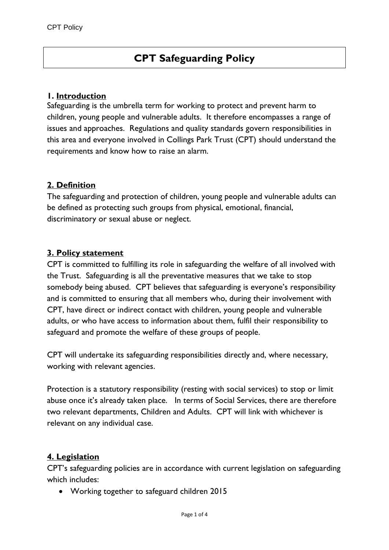# **CPT Safeguarding Policy**

#### **1. Introduction**

Safeguarding is the umbrella term for working to protect and prevent harm to children, young people and vulnerable adults. It therefore encompasses a range of issues and approaches. Regulations and quality standards govern responsibilities in this area and everyone involved in Collings Park Trust (CPT) should understand the requirements and know how to raise an alarm.

## **2. Definition**

The safeguarding and protection of children, young people and vulnerable adults can be defined as protecting such groups from physical, emotional, financial, discriminatory or sexual abuse or neglect.

#### **3. Policy statement**

CPT is committed to fulfilling its role in safeguarding the welfare of all involved with the Trust. Safeguarding is all the preventative measures that we take to stop somebody being abused. CPT believes that safeguarding is everyone's responsibility and is committed to ensuring that all members who, during their involvement with CPT, have direct or indirect contact with children, young people and vulnerable adults, or who have access to information about them, fulfil their responsibility to safeguard and promote the welfare of these groups of people.

CPT will undertake its safeguarding responsibilities directly and, where necessary, working with relevant agencies.

Protection is a statutory responsibility (resting with social services) to stop or limit abuse once it's already taken place. In terms of Social Services, there are therefore two relevant departments, Children and Adults. CPT will link with whichever is relevant on any individual case.

## **4. Legislation**

CPT's safeguarding policies are in accordance with current legislation on safeguarding which includes:

Working together to safeguard children 2015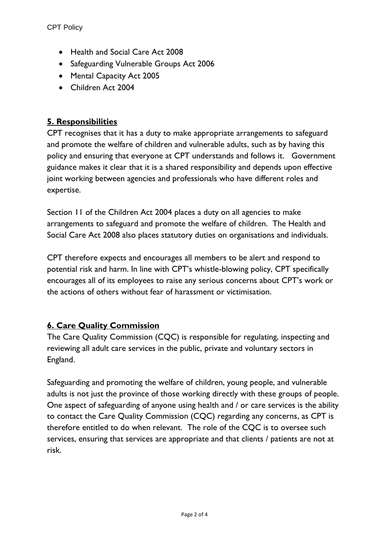- Health and Social Care Act 2008
- Safeguarding Vulnerable Groups Act 2006
- Mental Capacity Act 2005
- Children Act 2004

# **5. Responsibilities**

CPT recognises that it has a duty to make appropriate arrangements to safeguard and promote the welfare of children and vulnerable adults, such as by having this policy and ensuring that everyone at CPT understands and follows it. Government guidance makes it clear that it is a shared responsibility and depends upon effective joint working between agencies and professionals who have different roles and expertise.

Section 11 of the Children Act 2004 places a duty on all agencies to make arrangements to safeguard and promote the welfare of children. The Health and Social Care Act 2008 also places statutory duties on organisations and individuals.

CPT therefore expects and encourages all members to be alert and respond to potential risk and harm. In line with CPT's whistle-blowing policy, CPT specifically encourages all of its employees to raise any serious concerns about CPT's work or the actions of others without fear of harassment or victimisation.

# **6. Care Quality Commission**

The Care Quality Commission (CQC) is responsible for regulating, inspecting and reviewing all adult care services in the public, private and voluntary sectors in England.

Safeguarding and promoting the welfare of children, young people, and vulnerable adults is not just the province of those working directly with these groups of people. One aspect of safeguarding of anyone using health and / or care services is the ability to contact the Care Quality Commission (CQC) regarding any concerns, as CPT is therefore entitled to do when relevant. The role of the CQC is to oversee such services, ensuring that services are appropriate and that clients / patients are not at risk.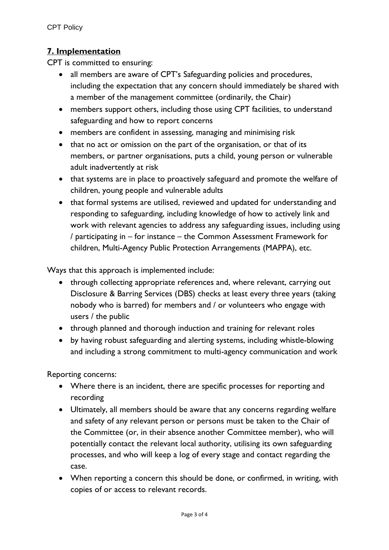# **7. Implementation**

CPT is committed to ensuring:

- all members are aware of CPT's Safeguarding policies and procedures, including the expectation that any concern should immediately be shared with a member of the management committee (ordinarily, the Chair)
- members support others, including those using CPT facilities, to understand safeguarding and how to report concerns
- members are confident in assessing, managing and minimising risk
- that no act or omission on the part of the organisation, or that of its members, or partner organisations, puts a child, young person or vulnerable adult inadvertently at risk
- that systems are in place to proactively safeguard and promote the welfare of children, young people and vulnerable adults
- that formal systems are utilised, reviewed and updated for understanding and responding to safeguarding, including knowledge of how to actively link and work with relevant agencies to address any safeguarding issues, including using / participating in – for instance – the Common Assessment Framework for children, Multi-Agency Public Protection Arrangements (MAPPA), etc.

Ways that this approach is implemented include:

- through collecting appropriate references and, where relevant, carrying out Disclosure & Barring Services (DBS) checks at least every three years (taking nobody who is barred) for members and / or volunteers who engage with users / the public
- through planned and thorough induction and training for relevant roles
- by having robust safeguarding and alerting systems, including whistle-blowing and including a strong commitment to multi-agency communication and work

Reporting concerns:

- Where there is an incident, there are specific processes for reporting and recording
- Ultimately, all members should be aware that any concerns regarding welfare and safety of any relevant person or persons must be taken to the Chair of the Committee (or, in their absence another Committee member), who will potentially contact the relevant local authority, utilising its own safeguarding processes, and who will keep a log of every stage and contact regarding the case.
- When reporting a concern this should be done, or confirmed, in writing, with copies of or access to relevant records.